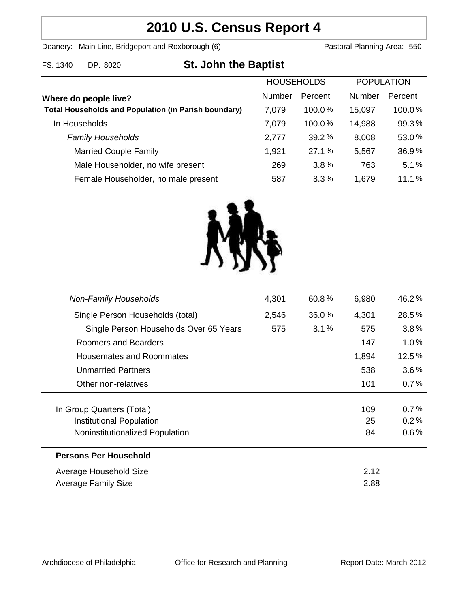# **2010 U.S. Census Report 4**

Deanery: Main Line, Bridgeport and Roxborough (6) Pastoral Planning Area: 550

| FS: 1340 | DP: 8020 | <b>St. John the Baptist</b> |  |
|----------|----------|-----------------------------|--|
|----------|----------|-----------------------------|--|

|                                                             | <b>HOUSEHOLDS</b> |           | <b>POPULATION</b> |         |
|-------------------------------------------------------------|-------------------|-----------|-------------------|---------|
| Where do people live?                                       | Number            | Percent   | Number            | Percent |
| <b>Total Households and Population (in Parish boundary)</b> | 7,079             | $100.0\%$ | 15,097            | 100.0%  |
| In Households                                               | 7,079             | $100.0\%$ | 14,988            | 99.3%   |
| <b>Family Households</b>                                    | 2,777             | 39.2%     | 8,008             | 53.0%   |
| <b>Married Couple Family</b>                                | 1,921             | 27.1%     | 5,567             | 36.9%   |
| Male Householder, no wife present                           | 269               | 3.8%      | 763               | 5.1%    |
| Female Householder, no male present                         | 587               | 8.3%      | 1,679             | 11.1%   |



| 4,301                           | 60.8% | 6,980 | 46.2%    |
|---------------------------------|-------|-------|----------|
| 2,546                           | 36.0% | 4,301 | 28.5%    |
| 575                             | 8.1%  | 575   | 3.8%     |
|                                 |       | 147   | 1.0%     |
|                                 |       | 1,894 | 12.5%    |
|                                 |       | 538   | $3.6\%$  |
|                                 |       | 101   | 0.7%     |
|                                 |       |       |          |
|                                 |       | 109   | 0.7%     |
| Institutional Population        |       |       | 0.2%     |
| Noninstitutionalized Population |       |       | $0.6\%$  |
|                                 |       |       |          |
|                                 |       | 2.12  |          |
|                                 |       | 2.88  |          |
|                                 |       |       | 25<br>84 |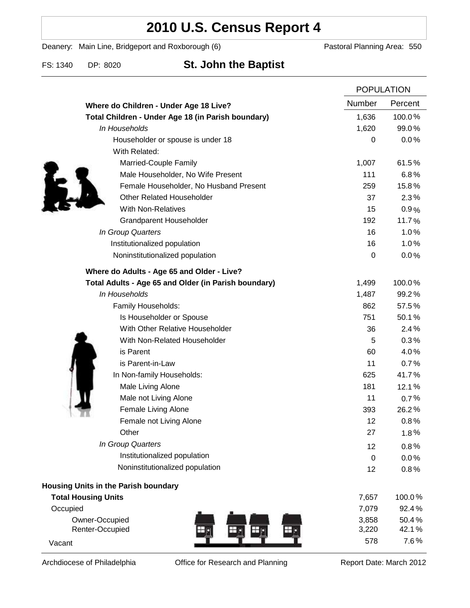# **2010 U.S. Census Report 4**

Deanery: Main Line, Bridgeport and Roxborough (6) Pastoral Planning Area: 550

FS: 1340 DP: 8020 **St. John the Baptist**

|                                                      |                  | <b>POPULATION</b> |  |
|------------------------------------------------------|------------------|-------------------|--|
| Where do Children - Under Age 18 Live?               | <b>Number</b>    | Percent           |  |
| Total Children - Under Age 18 (in Parish boundary)   | 1,636            | 100.0%            |  |
| In Households                                        | 1,620            | 99.0%             |  |
| Householder or spouse is under 18                    | $\boldsymbol{0}$ | 0.0%              |  |
| With Related:                                        |                  |                   |  |
| Married-Couple Family                                | 1,007            | 61.5%             |  |
| Male Householder, No Wife Present                    | 111              | 6.8%              |  |
| Female Householder, No Husband Present               | 259              | 15.8%             |  |
| <b>Other Related Householder</b>                     | 37               | 2.3%              |  |
| <b>With Non-Relatives</b>                            | 15               | 0.9%              |  |
| Grandparent Householder                              | 192              | 11.7%             |  |
| In Group Quarters                                    | 16               | 1.0%              |  |
| Institutionalized population                         | 16               | 1.0%              |  |
| Noninstitutionalized population                      | $\boldsymbol{0}$ | 0.0%              |  |
| Where do Adults - Age 65 and Older - Live?           |                  |                   |  |
| Total Adults - Age 65 and Older (in Parish boundary) | 1,499            | 100.0%            |  |
| In Households                                        | 1,487            | 99.2%             |  |
| Family Households:                                   | 862              | 57.5%             |  |
| Is Householder or Spouse                             | 751              | 50.1%             |  |
| With Other Relative Householder                      | 36               | 2.4%              |  |
| With Non-Related Householder                         | 5                | 0.3%              |  |
| is Parent                                            | 60               | 4.0%              |  |
| is Parent-in-Law                                     | 11               | 0.7%              |  |
| In Non-family Households:                            | 625              | 41.7%             |  |
| Male Living Alone                                    | 181              | 12.1%             |  |
| Male not Living Alone                                | 11               | 0.7%              |  |
| Female Living Alone                                  | 393              | 26.2%             |  |
| Female not Living Alone                              | 12               | 0.8%              |  |
| Other                                                | 27               | 1.8%              |  |
| In Group Quarters                                    | 12               | 0.8%              |  |
| Institutionalized population                         | $\boldsymbol{0}$ | 0.0%              |  |
| Noninstitutionalized population                      | 12               | 0.8%              |  |
| Housing Units in the Parish boundary                 |                  |                   |  |
| <b>Total Housing Units</b>                           | 7,657            | 100.0%            |  |
| Occupied                                             | 7,079            | 92.4%             |  |
| Owner-Occupied                                       | 3,858            | 50.4%             |  |
| Renter-Occupied                                      | 3,220            | 42.1%             |  |
| Vacant                                               | 578              | 7.6%              |  |

Archdiocese of Philadelphia **Office for Research and Planning** Report Date: March 2012